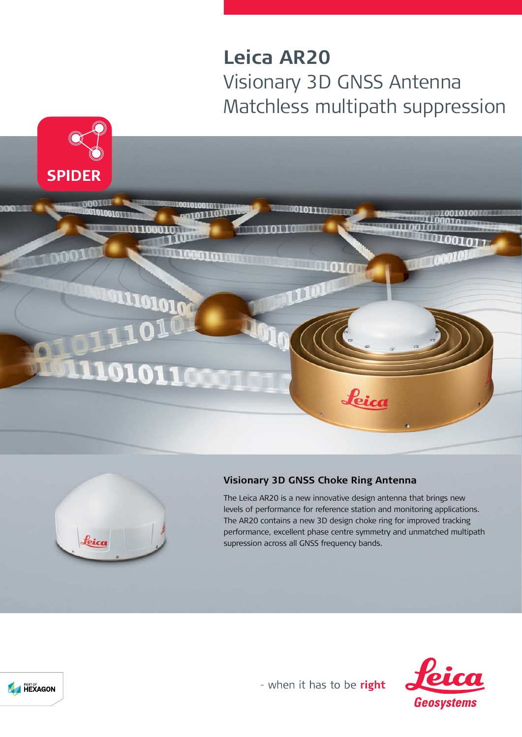# **Leica AR20** Visionary 3D GNSS Antenna Matchless multipath suppression





### **Visionary 3D GNSS Choke Ring Antenna**

The Leica AR20 is a new innovative design antenna that brings new levels of performance for reference station and monitoring applications. The AR20 contains a new 3D design choke ring for improved tracking performance, excellent phase centre symmetry and unmatched multipath supression across all GNSS frequency bands.





- when it has to be right